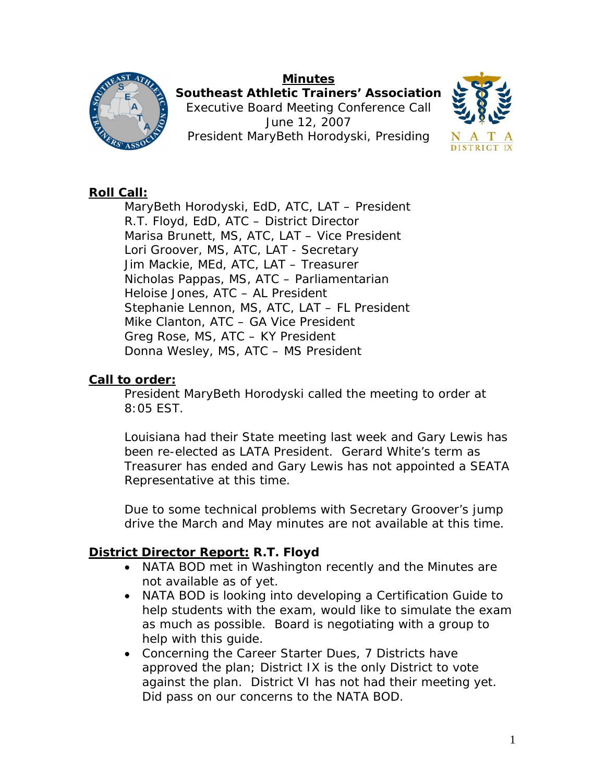# **Minutes**



**Southeast Athletic Trainers' Association**  Executive Board Meeting Conference Call June 12, 2007 President MaryBeth Horodyski, Presiding



#### **Roll Call:**

 MaryBeth Horodyski, EdD, ATC, LAT – President R.T. Floyd, EdD, ATC – District Director Marisa Brunett, MS, ATC, LAT – Vice President Lori Groover, MS, ATC, LAT - Secretary Jim Mackie, MEd, ATC, LAT – Treasurer Nicholas Pappas, MS, ATC – Parliamentarian Heloise Jones, ATC – AL President Stephanie Lennon, MS, ATC, LAT – FL President Mike Clanton, ATC – GA Vice President Greg Rose, MS, ATC – KY President Donna Wesley, MS, ATC – MS President

#### **Call to order:**

President MaryBeth Horodyski called the meeting to order at 8:05 EST.

Louisiana had their State meeting last week and Gary Lewis has been re-elected as LATA President. Gerard White's term as Treasurer has ended and Gary Lewis has not appointed a SEATA Representative at this time.

Due to some technical problems with Secretary Groover's jump drive the March and May minutes are not available at this time.

## **District Director Report: R.T. Floyd**

- NATA BOD met in Washington recently and the Minutes are not available as of yet.
- NATA BOD is looking into developing a Certification Guide to help students with the exam, would like to simulate the exam as much as possible. Board is negotiating with a group to help with this guide.
- Concerning the Career Starter Dues, 7 Districts have approved the plan; District IX is the only District to vote against the plan. District VI has not had their meeting yet. Did pass on our concerns to the NATA BOD.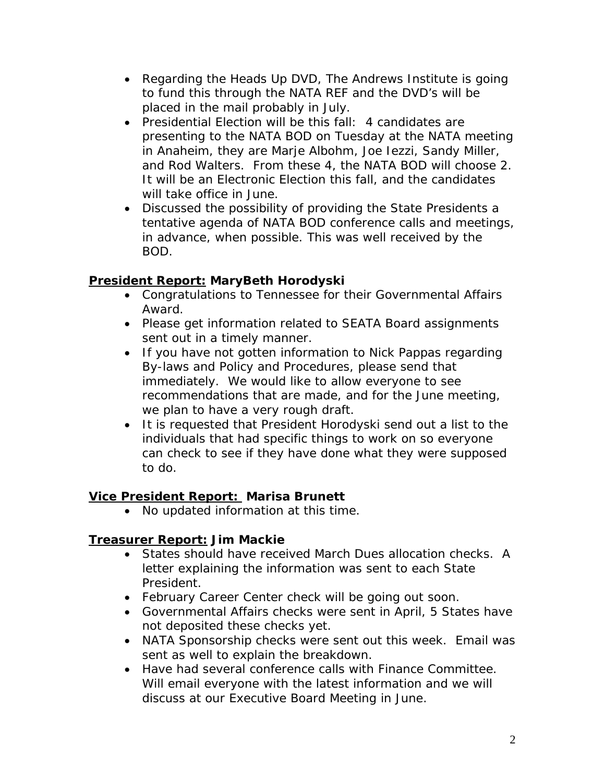- Regarding the Heads Up DVD, The Andrews Institute is going to fund this through the NATA REF and the DVD's will be placed in the mail probably in July.
- Presidential Election will be this fall: 4 candidates are presenting to the NATA BOD on Tuesday at the NATA meeting in Anaheim, they are Marje Albohm, Joe Iezzi, Sandy Miller, and Rod Walters. From these 4, the NATA BOD will choose 2. It will be an Electronic Election this fall, and the candidates will take office in June.
- Discussed the possibility of providing the State Presidents a tentative agenda of NATA BOD conference calls and meetings, in advance, when possible. This was well received by the BOD.

## **President Report: MaryBeth Horodyski**

- Congratulations to Tennessee for their Governmental Affairs Award.
- Please get information related to SEATA Board assignments sent out in a timely manner.
- If you have not gotten information to Nick Pappas regarding By-laws and Policy and Procedures, please send that immediately. We would like to allow everyone to see recommendations that are made, and for the June meeting, we plan to have a very rough draft.
- It is requested that President Horodyski send out a list to the individuals that had specific things to work on so everyone can check to see if they have done what they were supposed to do.

## **Vice President Report: Marisa Brunett**

• No updated information at this time.

## **Treasurer Report: Jim Mackie**

- States should have received March Dues allocation checks. A letter explaining the information was sent to each State President.
- February Career Center check will be going out soon.
- Governmental Affairs checks were sent in April, 5 States have not deposited these checks yet.
- NATA Sponsorship checks were sent out this week. Email was sent as well to explain the breakdown.
- Have had several conference calls with Finance Committee. Will email everyone with the latest information and we will discuss at our Executive Board Meeting in June.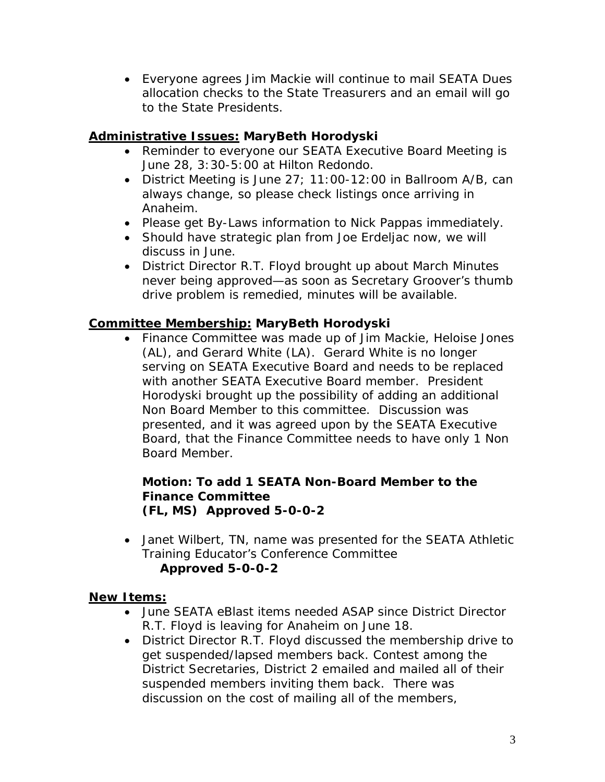• Everyone agrees Jim Mackie will continue to mail SEATA Dues allocation checks to the State Treasurers and an email will go to the State Presidents.

## **Administrative Issues: MaryBeth Horodyski**

- Reminder to everyone our SEATA Executive Board Meeting is June 28, 3:30-5:00 at Hilton Redondo.
- District Meeting is June 27; 11:00-12:00 in Ballroom A/B, can always change, so please check listings once arriving in Anaheim.
- Please get By-Laws information to Nick Pappas immediately.
- Should have strategic plan from Joe Erdeljac now, we will discuss in June.
- District Director R.T. Floyd brought up about March Minutes never being approved—as soon as Secretary Groover's thumb drive problem is remedied, minutes will be available.

#### **Committee Membership: MaryBeth Horodyski**

• Finance Committee was made up of Jim Mackie, Heloise Jones (AL), and Gerard White (LA). Gerard White is no longer serving on SEATA Executive Board and needs to be replaced with another SEATA Executive Board member. President Horodyski brought up the possibility of adding an additional Non Board Member to this committee. Discussion was presented, and it was agreed upon by the SEATA Executive Board, that the Finance Committee needs to have only 1 Non Board Member.

#### **Motion: To add 1 SEATA Non-Board Member to the Finance Committee (FL, MS) Approved 5-0-0-2**

• Janet Wilbert, TN, name was presented for the SEATA Athletic Training Educator's Conference Committee **Approved 5-0-0-2** 

#### **New Items:**

- June SEATA eBlast items needed ASAP since District Director R.T. Floyd is leaving for Anaheim on June 18.
- District Director R.T. Floyd discussed the membership drive to get suspended/lapsed members back. Contest among the District Secretaries, District 2 emailed and mailed all of their suspended members inviting them back. There was discussion on the cost of mailing all of the members,